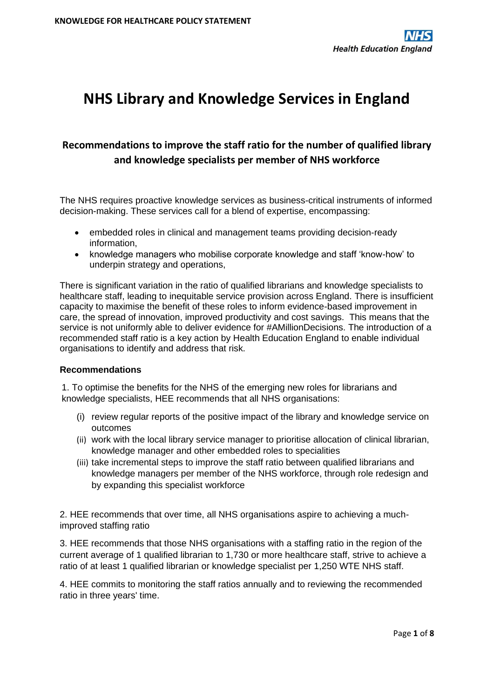# **NHS Library and Knowledge Services in England**

## **Recommendations to improve the staff ratio for the number of qualified library and knowledge specialists per member of NHS workforce**

The NHS requires proactive knowledge services as business-critical instruments of informed decision-making. These services call for a blend of expertise, encompassing:

- embedded roles in clinical and management teams providing decision-ready information,
- knowledge managers who mobilise corporate knowledge and staff 'know-how' to underpin strategy and operations,

There is significant variation in the ratio of qualified librarians and knowledge specialists to healthcare staff, leading to inequitable service provision across England. There is insufficient capacity to maximise the benefit of these roles to inform evidence-based improvement in care, the spread of innovation, improved productivity and cost savings. This means that the service is not uniformly able to deliver evidence for #AMillionDecisions. The introduction of a recommended staff ratio is a key action by Health Education England to enable individual organisations to identify and address that risk.

### **Recommendations**

1. To optimise the benefits for the NHS of the emerging new roles for librarians and knowledge specialists, HEE recommends that all NHS organisations:

- (i) review regular reports of the positive impact of the library and knowledge service on outcomes
- (ii) work with the local library service manager to prioritise allocation of clinical librarian, knowledge manager and other embedded roles to specialities
- (iii) take incremental steps to improve the staff ratio between qualified librarians and knowledge managers per member of the NHS workforce, through role redesign and by expanding this specialist workforce

2. HEE recommends that over time, all NHS organisations aspire to achieving a muchimproved staffing ratio

3. HEE recommends that those NHS organisations with a staffing ratio in the region of the current average of 1 qualified librarian to 1,730 or more healthcare staff, strive to achieve a ratio of at least 1 qualified librarian or knowledge specialist per 1,250 WTE NHS staff.

4. HEE commits to monitoring the staff ratios annually and to reviewing the recommended ratio in three years' time.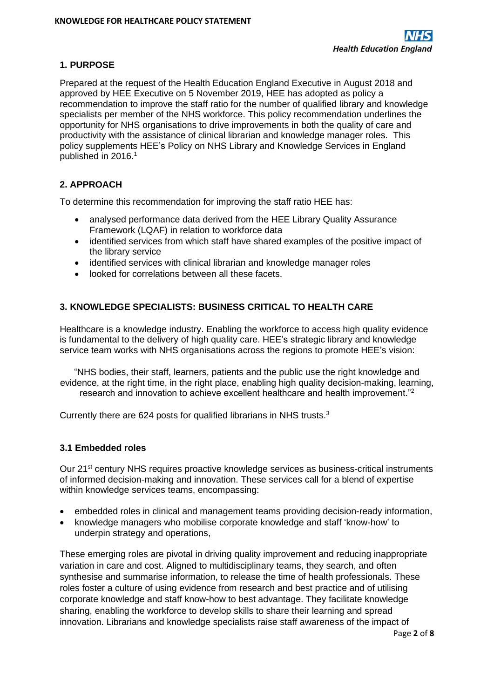## **1. PURPOSE**

Prepared at the request of the Health Education England Executive in August 2018 and approved by HEE Executive on 5 November 2019, HEE has adopted as policy a recommendation to improve the staff ratio for the number of qualified library and knowledge specialists per member of the NHS workforce. This policy recommendation underlines the opportunity for NHS organisations to drive improvements in both the quality of care and productivity with the assistance of clinical librarian and knowledge manager roles. This policy supplements HEE's Policy on NHS Library and Knowledge Services in England published in 2016. 1

## **2. APPROACH**

To determine this recommendation for improving the staff ratio HEE has:

- analysed performance data derived from the HEE Library Quality Assurance Framework (LQAF) in relation to workforce data
- identified services from which staff have shared examples of the positive impact of the library service
- identified services with clinical librarian and knowledge manager roles
- looked for correlations between all these facets.

## **3. KNOWLEDGE SPECIALISTS: BUSINESS CRITICAL TO HEALTH CARE**

Healthcare is a knowledge industry. Enabling the workforce to access high quality evidence is fundamental to the delivery of high quality care. HEE's strategic library and knowledge service team works with NHS organisations across the regions to promote HEE's vision:

"NHS bodies, their staff, learners, patients and the public use the right knowledge and evidence, at the right time, in the right place, enabling high quality decision-making, learning, research and innovation to achieve excellent healthcare and health improvement."<sup>2</sup>

Currently there are 624 posts for qualified librarians in NHS trusts.<sup>3</sup>

### **3.1 Embedded roles**

Our 21<sup>st</sup> century NHS requires proactive knowledge services as business-critical instruments of informed decision-making and innovation. These services call for a blend of expertise within knowledge services teams, encompassing:

- embedded roles in clinical and management teams providing decision-ready information,
- knowledge managers who mobilise corporate knowledge and staff 'know-how' to underpin strategy and operations,

These emerging roles are pivotal in driving quality improvement and reducing inappropriate variation in care and cost. Aligned to multidisciplinary teams, they search, and often synthesise and summarise information, to release the time of health professionals. These roles foster a culture of using evidence from research and best practice and of utilising corporate knowledge and staff know-how to best advantage. They facilitate knowledge sharing, enabling the workforce to develop skills to share their learning and spread innovation. Librarians and knowledge specialists raise staff awareness of the impact of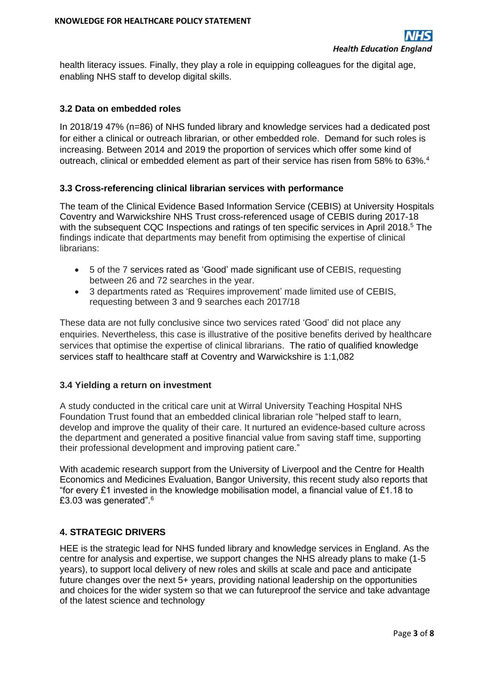health literacy issues. Finally, they play a role in equipping colleagues for the digital age, enabling NHS staff to develop digital skills.

#### **3.2 Data on embedded roles**

In 2018/19 47% (n=86) of NHS funded library and knowledge services had a dedicated post for either a clinical or outreach librarian, or other embedded role. Demand for such roles is increasing. Between 2014 and 2019 the proportion of services which offer some kind of outreach, clinical or embedded element as part of their service has risen from 58% to 63%.<sup>4</sup>

#### **3.3 Cross-referencing clinical librarian services with performance**

The team of the Clinical Evidence Based Information Service (CEBIS) at University Hospitals Coventry and Warwickshire NHS Trust cross-referenced usage of CEBIS during 2017-18 with the subsequent CQC Inspections and ratings of ten specific services in April 2018.<sup>5</sup> The findings indicate that departments may benefit from optimising the expertise of clinical librarians:

- 5 of the 7 services rated as 'Good' made significant use of CEBIS, requesting between 26 and 72 searches in the year.
- 3 departments rated as 'Requires improvement' made limited use of CEBIS, requesting between 3 and 9 searches each 2017/18

These data are not fully conclusive since two services rated 'Good' did not place any enquiries. Nevertheless, this case is illustrative of the positive benefits derived by healthcare services that optimise the expertise of clinical librarians. The ratio of qualified knowledge services staff to healthcare staff at Coventry and Warwickshire is 1:1,082

#### **3.4 Yielding a return on investment**

A study conducted in the critical care unit at Wirral University Teaching Hospital NHS Foundation Trust found that an embedded clinical librarian role "helped staff to learn, develop and improve the quality of their care. It nurtured an evidence-based culture across the department and generated a positive financial value from saving staff time, supporting their professional development and improving patient care."

With academic research support from the University of Liverpool and the Centre for Health Economics and Medicines Evaluation, Bangor University, this recent study also reports that "for every £1 invested in the knowledge mobilisation model, a financial value of £1.18 to £3.03 was generated".<sup>6</sup>

### **4. STRATEGIC DRIVERS**

HEE is the strategic lead for NHS funded library and knowledge services in England. As the centre for analysis and expertise, we support changes the NHS already plans to make (1-5 years), to support local delivery of new roles and skills at scale and pace and anticipate future changes over the next 5+ years, providing national leadership on the opportunities and choices for the wider system so that we can futureproof the service and take advantage of the latest science and technology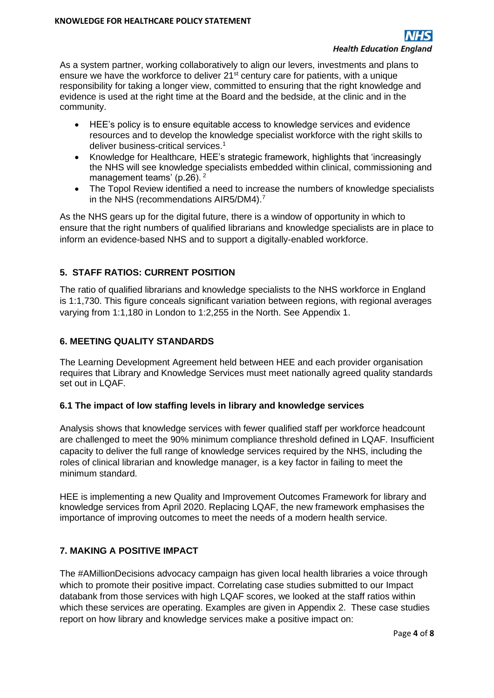As a system partner, working collaboratively to align our levers, investments and plans to ensure we have the workforce to deliver 21<sup>st</sup> century care for patients, with a unique responsibility for taking a longer view, committed to ensuring that the right knowledge and evidence is used at the right time at the Board and the bedside, at the clinic and in the community.

- HEE's policy is to ensure equitable access to knowledge services and evidence resources and to develop the knowledge specialist workforce with the right skills to deliver business-critical services.<sup>1</sup>
- Knowledge for Healthcare*,* HEE's strategic framework, highlights that 'increasingly the NHS will see knowledge specialists embedded within clinical, commissioning and management teams' (p.26).<sup>2</sup>
- The Topol Review identified a need to increase the numbers of knowledge specialists in the NHS (recommendations AIR5/DM4).<sup>7</sup>

As the NHS gears up for the digital future, there is a window of opportunity in which to ensure that the right numbers of qualified librarians and knowledge specialists are in place to inform an evidence-based NHS and to support a digitally-enabled workforce.

## **5. STAFF RATIOS: CURRENT POSITION**

The ratio of qualified librarians and knowledge specialists to the NHS workforce in England is 1:1,730. This figure conceals significant variation between regions, with regional averages varying from 1:1,180 in London to 1:2,255 in the North. See Appendix 1.

## **6. MEETING QUALITY STANDARDS**

The Learning Development Agreement held between HEE and each provider organisation requires that Library and Knowledge Services must meet nationally agreed quality standards set out in LQAF.

### **6.1 The impact of low staffing levels in library and knowledge services**

Analysis shows that knowledge services with fewer qualified staff per workforce headcount are challenged to meet the 90% minimum compliance threshold defined in LQAF. Insufficient capacity to deliver the full range of knowledge services required by the NHS, including the roles of clinical librarian and knowledge manager, is a key factor in failing to meet the minimum standard.

HEE is implementing a new Quality and Improvement Outcomes Framework for library and knowledge services from April 2020. Replacing LQAF, the new framework emphasises the importance of improving outcomes to meet the needs of a modern health service.

## **7. MAKING A POSITIVE IMPACT**

The #AMillionDecisions advocacy campaign has given local health libraries a voice through which to promote their positive impact. Correlating case studies submitted to our Impact databank from those services with high LQAF scores, we looked at the staff ratios within which these services are operating. Examples are given in Appendix 2. These case studies report on how library and knowledge services make a positive impact on: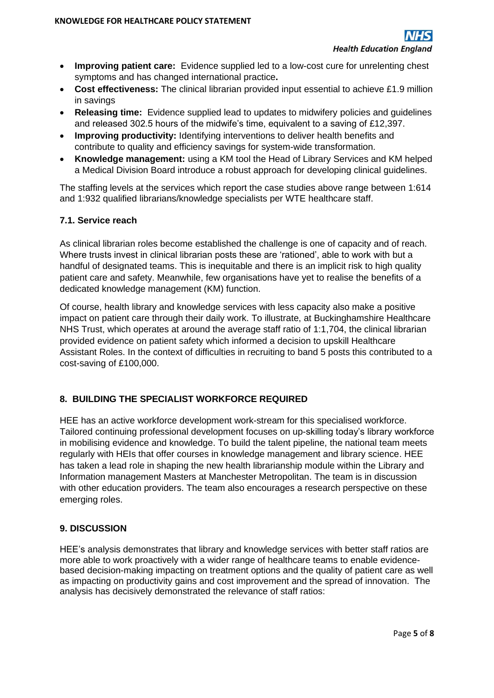- **Improving patient care:** Evidence supplied led to a low-cost cure for unrelenting chest symptoms and has changed international practice**.**
- **Cost effectiveness:** The clinical librarian provided input essential to achieve £1.9 million in savings
- **Releasing time:** Evidence supplied lead to updates to midwifery policies and guidelines and released 302.5 hours of the midwife's time, equivalent to a saving of £12,397.
- **Improving productivity:** Identifying interventions to deliver health benefits and contribute to quality and efficiency savings for system-wide transformation.
- **Knowledge management:** using a KM tool the Head of Library Services and KM helped a Medical Division Board introduce a robust approach for developing clinical guidelines.

The staffing levels at the services which report the case studies above range between 1:614 and 1:932 qualified librarians/knowledge specialists per WTE healthcare staff.

## **7.1. Service reach**

As clinical librarian roles become established the challenge is one of capacity and of reach. Where trusts invest in clinical librarian posts these are 'rationed', able to work with but a handful of designated teams. This is inequitable and there is an implicit risk to high quality patient care and safety. Meanwhile, few organisations have yet to realise the benefits of a dedicated knowledge management (KM) function.

Of course, health library and knowledge services with less capacity also make a positive impact on patient care through their daily work. To illustrate, at Buckinghamshire Healthcare NHS Trust, which operates at around the average staff ratio of 1:1,704, the clinical librarian provided evidence on patient safety which informed a decision to upskill Healthcare Assistant Roles. In the context of difficulties in recruiting to band 5 posts this contributed to a cost-saving of £100,000.

## **8. BUILDING THE SPECIALIST WORKFORCE REQUIRED**

HEE has an active workforce development work-stream for this specialised workforce. Tailored continuing professional development focuses on up-skilling today's library workforce in mobilising evidence and knowledge. To build the talent pipeline, the national team meets regularly with HEIs that offer courses in knowledge management and library science. HEE has taken a lead role in shaping the new health librarianship module within the Library and Information management Masters at Manchester Metropolitan. The team is in discussion with other education providers. The team also encourages a research perspective on these emerging roles.

### **9. DISCUSSION**

HEE's analysis demonstrates that library and knowledge services with better staff ratios are more able to work proactively with a wider range of healthcare teams to enable evidencebased decision-making impacting on treatment options and the quality of patient care as well as impacting on productivity gains and cost improvement and the spread of innovation. The analysis has decisively demonstrated the relevance of staff ratios: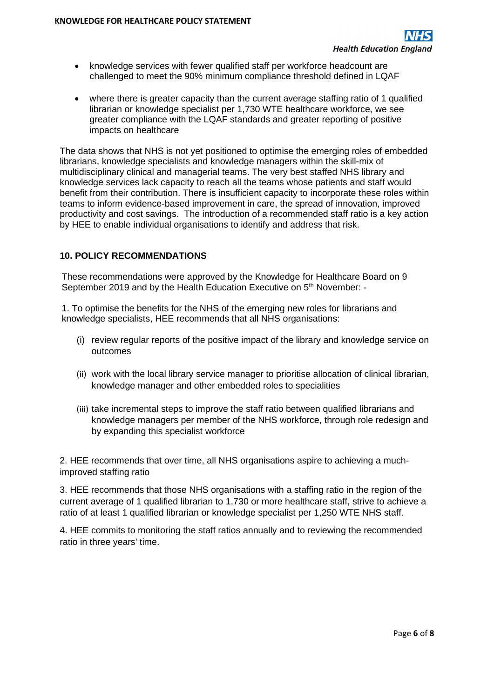- knowledge services with fewer qualified staff per workforce headcount are challenged to meet the 90% minimum compliance threshold defined in LQAF
- where there is greater capacity than the current average staffing ratio of 1 qualified librarian or knowledge specialist per 1,730 WTE healthcare workforce, we see greater compliance with the LQAF standards and greater reporting of positive impacts on healthcare

The data shows that NHS is not yet positioned to optimise the emerging roles of embedded librarians, knowledge specialists and knowledge managers within the skill-mix of multidisciplinary clinical and managerial teams. The very best staffed NHS library and knowledge services lack capacity to reach all the teams whose patients and staff would benefit from their contribution. There is insufficient capacity to incorporate these roles within teams to inform evidence-based improvement in care, the spread of innovation, improved productivity and cost savings. The introduction of a recommended staff ratio is a key action by HEE to enable individual organisations to identify and address that risk.

### **10. POLICY RECOMMENDATIONS**

These recommendations were approved by the Knowledge for Healthcare Board on 9 September 2019 and by the Health Education Executive on 5<sup>th</sup> November: -

1. To optimise the benefits for the NHS of the emerging new roles for librarians and knowledge specialists, HEE recommends that all NHS organisations:

- (i) review regular reports of the positive impact of the library and knowledge service on outcomes
- (ii) work with the local library service manager to prioritise allocation of clinical librarian, knowledge manager and other embedded roles to specialities
- (iii) take incremental steps to improve the staff ratio between qualified librarians and knowledge managers per member of the NHS workforce, through role redesign and by expanding this specialist workforce

2. HEE recommends that over time, all NHS organisations aspire to achieving a muchimproved staffing ratio

3. HEE recommends that those NHS organisations with a staffing ratio in the region of the current average of 1 qualified librarian to 1,730 or more healthcare staff, strive to achieve a ratio of at least 1 qualified librarian or knowledge specialist per 1,250 WTE NHS staff.

4. HEE commits to monitoring the staff ratios annually and to reviewing the recommended ratio in three years' time.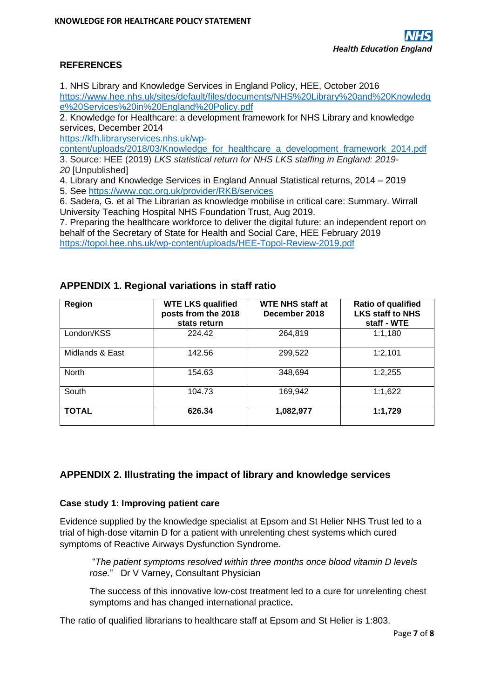## **REFERENCES**

1. NHS Library and Knowledge Services in England Policy, HEE, October 2016 [https://www.hee.nhs.uk/sites/default/files/documents/NHS%20Library%20and%20Knowledg](https://www.hee.nhs.uk/sites/default/files/documents/NHS%20Library%20and%20Knowledge%20Services%20in%20England%20Policy.pdf) [e%20Services%20in%20England%20Policy.pdf](https://www.hee.nhs.uk/sites/default/files/documents/NHS%20Library%20and%20Knowledge%20Services%20in%20England%20Policy.pdf)

2. Knowledge for Healthcare: a development framework for NHS Library and knowledge services, December 2014

[https://kfh.libraryservices.nhs.uk/wp-](https://kfh.libraryservices.nhs.uk/wp-content/uploads/2018/03/Knowledge_for_healthcare_a_development_framework_2014.pdf)

[content/uploads/2018/03/Knowledge\\_for\\_healthcare\\_a\\_development\\_framework\\_2014.pdf](https://kfh.libraryservices.nhs.uk/wp-content/uploads/2018/03/Knowledge_for_healthcare_a_development_framework_2014.pdf) 3. Source: HEE (2019) *LKS statistical return for NHS LKS staffing in England: 2019- 20* [Unpublished]

4. Library and Knowledge Services in England Annual Statistical returns, 2014 – 2019

5. See<https://www.cqc.org.uk/provider/RKB/services>

6. Sadera, G. et al The Librarian as knowledge mobilise in critical care: Summary. Wirrall University Teaching Hospital NHS Foundation Trust, Aug 2019.

7. Preparing the healthcare workforce to deliver the digital future: an independent report on behalf of the Secretary of State for Health and Social Care, HEE February 2019 <https://topol.hee.nhs.uk/wp-content/uploads/HEE-Topol-Review-2019.pdf>

| Region          | <b>WTE LKS qualified</b><br>posts from the 2018<br>stats return | <b>WTE NHS staff at</b><br>December 2018 | Ratio of qualified<br><b>LKS staff to NHS</b><br>staff - WTE |
|-----------------|-----------------------------------------------------------------|------------------------------------------|--------------------------------------------------------------|
| London/KSS      | 224.42                                                          | 264,819                                  | 1:1,180                                                      |
| Midlands & East | 142.56                                                          | 299,522                                  | 1:2.101                                                      |
| <b>North</b>    | 154.63                                                          | 348,694                                  | 1:2,255                                                      |
| South           | 104.73                                                          | 169,942                                  | 1:1,622                                                      |
| <b>TOTAL</b>    | 626.34                                                          | 1,082,977                                | 1:1,729                                                      |

## **APPENDIX 1. Regional variations in staff ratio**

## **APPENDIX 2. Illustrating the impact of library and knowledge services**

### **Case study 1: Improving patient care**

Evidence supplied by the knowledge specialist at Epsom and St Helier NHS Trust led to a trial of high-dose vitamin D for a patient with unrelenting chest systems which cured symptoms of Reactive Airways Dysfunction Syndrome.

"*The patient symptoms resolved within three months once blood vitamin D levels rose.*" Dr V Varney, Consultant Physician

The success of this innovative low-cost treatment led to a cure for unrelenting chest symptoms and has changed international practice**.** 

The ratio of qualified librarians to healthcare staff at Epsom and St Helier is 1:803.